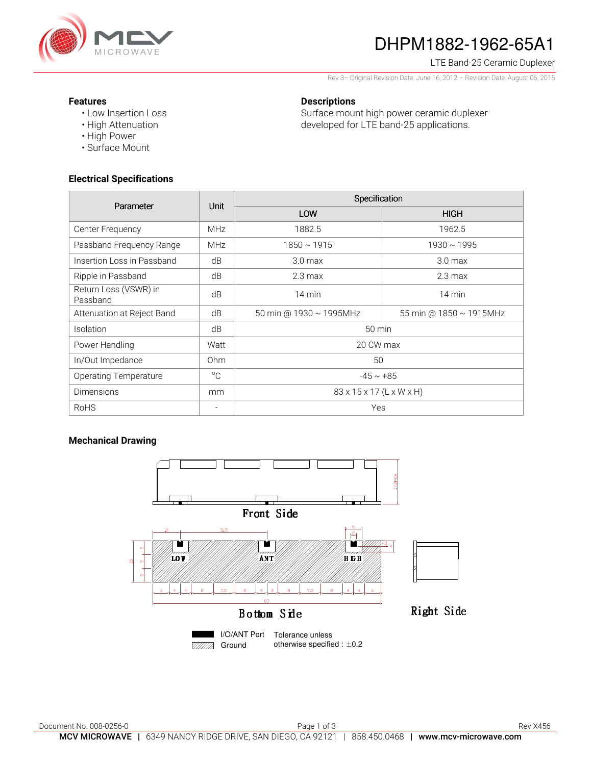

# DHPM1882-1962-65A1

LTE Band-25 Ceramic Duplexer

Rev 3– Original Revision Date: June 16, 2012 – Revision Date: August 06, 2015

#### **Features**

• Low Insertion Loss • High Attenuation

### **Descriptions**

Surface mount high power ceramic duplexer developed for LTE band-25 applications.

• Surface Mount **Electrical Specifications** 

• High Power

| Parameter                         | <b>Unit</b>     | Specification            |                         |
|-----------------------------------|-----------------|--------------------------|-------------------------|
|                                   |                 | LOW                      | <b>HIGH</b>             |
| Center Frequency                  | <b>MHz</b>      | 1882.5                   | 1962.5                  |
| Passband Frequency Range          | <b>MHz</b>      | $1850 \sim 1915$         | $1930 \sim 1995$        |
| Insertion Loss in Passband        | dB              | 3.0 <sub>max</sub>       | 3.0 <sub>max</sub>      |
| Ripple in Passband                | dB              | $2.3 \text{ max}$        | $2.3 \text{ max}$       |
| Return Loss (VSWR) in<br>Passband | dB              | 14 min                   | $14 \text{ min}$        |
| Attenuation at Reject Band        | dB              | 50 min @ 1930 ~ 1995MHz  | 55 min @ 1850 ~ 1915MHz |
| Isolation                         | dB              | $50 \text{ min}$         |                         |
| Power Handling                    | Watt            | 20 CW max                |                         |
| In/Out Impedance                  | 0 <sub>hm</sub> | 50                       |                         |
| <b>Operating Temperature</b>      | $^{\circ}$ C    | $-45 \sim +85$           |                         |
| <b>Dimensions</b>                 | mm              | 83 x 15 x 17 (L x W x H) |                         |
| <b>RoHS</b>                       |                 | Yes                      |                         |

### **Mechanical Drawing**

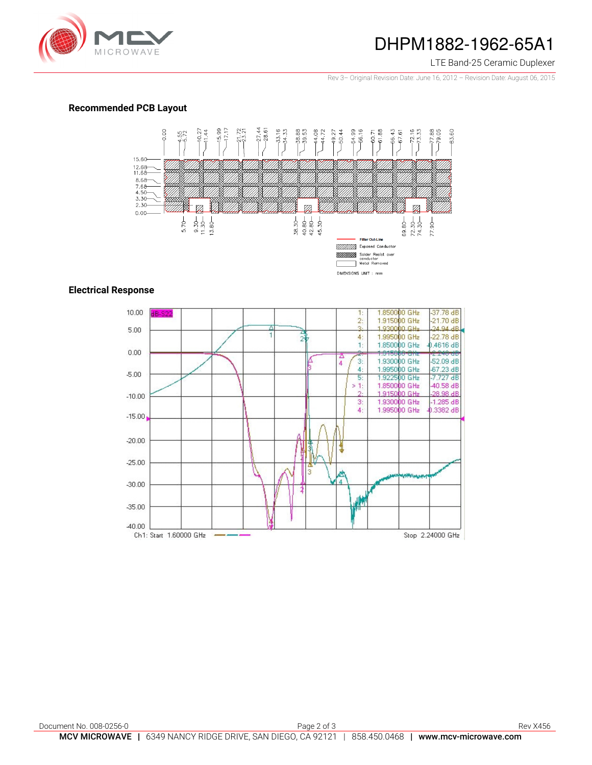

### DHPM1882-1962-65A1

LTE Band-25 Ceramic Duplexer

Rev 3– Original Revision Date: June 16, 2012 – Revision Date: August 06, 2015

### **Recommended PCB Layout**



### **Electrical Response**